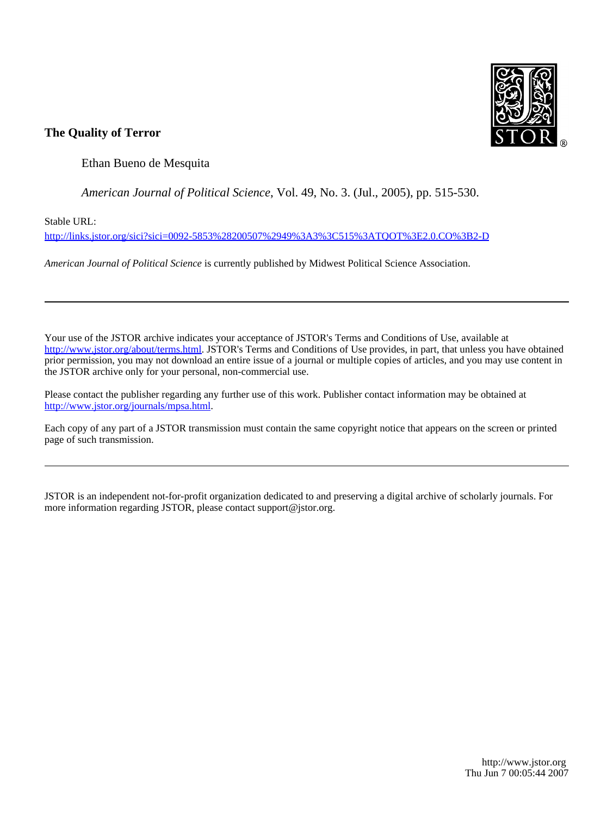

## **The Quality of Terror**

Ethan Bueno de Mesquita

*American Journal of Political Science*, Vol. 49, No. 3. (Jul., 2005), pp. 515-530.

Stable URL:

<http://links.jstor.org/sici?sici=0092-5853%28200507%2949%3A3%3C515%3ATQOT%3E2.0.CO%3B2-D>

*American Journal of Political Science* is currently published by Midwest Political Science Association.

Your use of the JSTOR archive indicates your acceptance of JSTOR's Terms and Conditions of Use, available at [http://www.jstor.org/about/terms.html.](http://www.jstor.org/about/terms.html) JSTOR's Terms and Conditions of Use provides, in part, that unless you have obtained prior permission, you may not download an entire issue of a journal or multiple copies of articles, and you may use content in the JSTOR archive only for your personal, non-commercial use.

Please contact the publisher regarding any further use of this work. Publisher contact information may be obtained at [http://www.jstor.org/journals/mpsa.html.](http://www.jstor.org/journals/mpsa.html)

Each copy of any part of a JSTOR transmission must contain the same copyright notice that appears on the screen or printed page of such transmission.

JSTOR is an independent not-for-profit organization dedicated to and preserving a digital archive of scholarly journals. For more information regarding JSTOR, please contact support@jstor.org.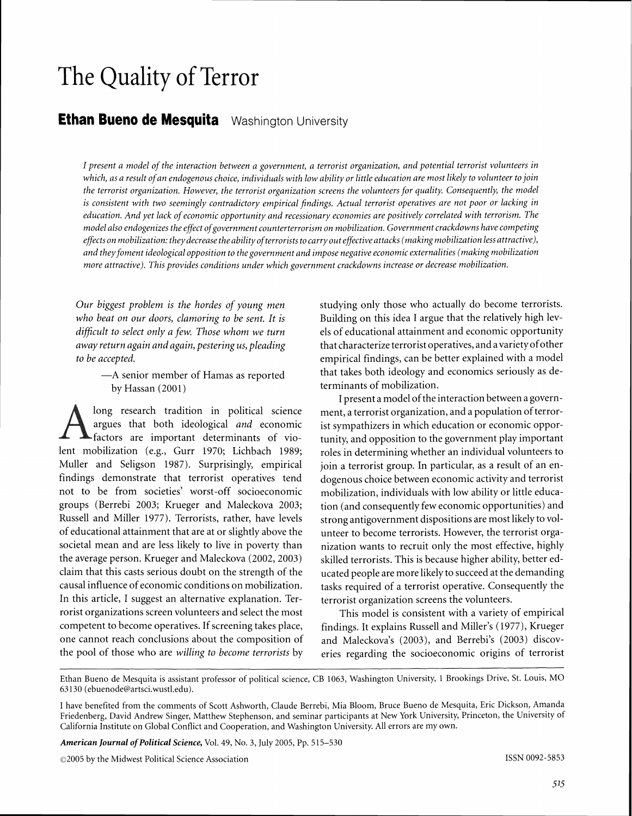# **The** Quality **of Terror**

# **Ethan Bueno de Mesquita** Washington University

*I* present a model of the interaction between a government, a terrorist organization, and potential terrorist volunteers in *which, as a result of an endogenous choice, individuals with low ability or little education are most likely to volunteer to join the terrorist organization. However, the terrorist organization screens the volunteers for quality. Consequently, the model is consistent with two seemingly contradictory empirical findings. Actual terrorist operatives are not poor or lacking in education. And yet lack of econornic opportunity and recessionary economies are positively correlated with terrorism. The model also endogenizes the effect of government counterterrorism on mobilization. Government crackdowns have competing effects on mobilization: they decrease the ability of terrorists to carry out effective attacks (making mobilization less attractive),* and they foment ideological opposition to the government and impose negative economic externalities (making mobilization *more attractive). This provides conditions under which government crackdowns increase or decrease mobilization.* 

by Hassan (2001) terminants of mobilization.

 $A<sub>frac</sub>$ **Example 1** factors are important determinants of vio-<br>lead tunity, and opposition to the government play important<br>lead to tunity, and opposition to the government play important<br>lead to tunity, and opposition to the gove Muller and Seligson 1987). Surprisingly, empirical join a terrorist group. In particular, as a result of an enfindings demonstrate that terrorist operatives tend dogenous choice between economic activity and terrorist not to be from societies' worst-off socioeconomic mobilization, individuals with low ability or little educagroups (Berrebi 2003; Krueger and Maleckova 2003; tion (and consequently few economic opportunities) and Russell and Miller 1977). Terrorists, rather, have levels strong antigovernment dispositions are most likely to vol-<br>of educational attainment that are at or slightly above the unteer to become terrorists. However, the ter societal mean and are less likely to live in poverty than nization wants to recruit only the most effective, highly the average person. Krueger and Maleckova (2002, 2003) skilled terrorists. This is because higher ability, better edclaim that this casts serious doubt on the strength of the ucated people are more likely to succeed at the demanding causal influence of economic conditions on mobilization. tasks required of a terrorist operative. Consequently the In this article, I suggest an alternative explanation. Ter- terrorist organization screens the volunteers. rorist organizations screen volunteers and select the most This model is consistent with a variety of empirical competent to become operatives. If screening takes place, findings. It explains Russell and Miller's (1977), Krueger one cannot reach conclusions about the composition of and Maleckova's (2003), and Berrebi's (2003) discov-

*Our biggest problem is the hordes of young men* studying only those who actually do become terrorists. *who beat on our doors, clamoring to be sent. It is* Building on this idea I argue that the relatively high lev*difficult to select only a few. Those whom we turn* els of educational attainment and economic opportunity *away return again and again, pestering us, pleading* that characterize terrorist operatives, and a variety of other *to be accepted.* empirical findings, can be better explained with a model -A senior member of Hamas as reported that takes both ideology and economics seriously as de-

I present a model of the interaction between a governlong research tradition in political science ment, a terrorist organization, and a population of terror-<br>argues that both ideological *and* economic ist sympathizers in which education or economic opporargues that both ideological *and* economic ist sympathizers in which education or economic oppor-<br>factors are important determinants of vio-<br>tunity and opposition to the government play important roles in determining whether an individual volunteers to mobilization, individuals with low ability or little educaunteer to become terrorists. However, the terrorist orga-

the pool of those who are *willing to become terrorists* by eries regarding the socioeconomic origins of terrorist

*American Journal of Political Science,* Vol. *49,* No. 3, July 2005, Pp. 515-530

 $\odot$ 2005 by the Midwest Political Science Association **ISSN 0092-5853** ISSN 0092-5853

Ethan Bueno de Mesquita is assistant professor of political science, CB 1063, Washington University, 1 Brookings Drive, St. Louis, MO 63130 (ebuenode@artsci.wustl.edu).

I have benefited from the comments of Scott Ashworth, Claude Berrebi, Mia Bloom, Bruce Bueno de Mesquita, Eric Dickson, Amanda Friedenberg, David Andrew Singer, Matthew Stephenson, and seminar participants at New York University, Princeton, the University of California Institute on Global Conflict and Cooperation, and Washington University. All errors are my own.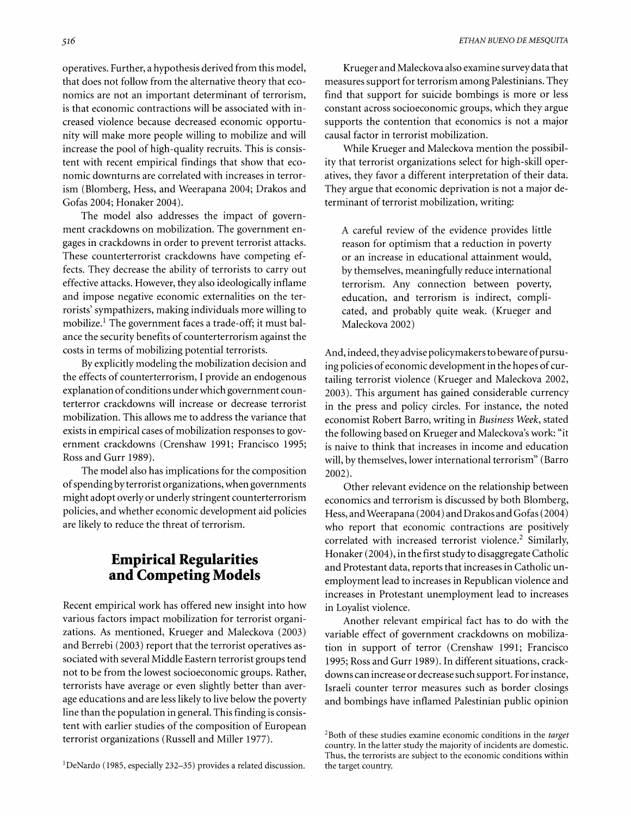operatives. Further, a hypothesis derived from this model, that does not follow from the alternative theory that economics are not an important determinant of terrorism, is that economic contractions will be associated with increased violence because decreased economic opportunity will make more people willing to mobilize and will increase the pool of high-quality recruits. This is consistent with recent empirical findings that show that economic downturns are correlated with increases in terrorism (Blomberg, Hess, and Weerapana 2004; Drakos and Gofas 2004; Honaker 2004).

The model also addresses the impact of government crackdowns on mobilization. The government engages in crackdowns in order to prevent terrorist attacks. These counterterrorist crackdowns have competing effects. They decrease the ability of terrorists to carry out effective attacks. However, they also ideologically inflame and impose negative economic externalities on the terrorists' sympathizers, making individuals more willing to mobilize.<sup>1</sup> The government faces a trade-off; it must balance the security benefits of counterterrorism against the costs in terms of mobilizing potential terrorists.

By explicitly modeling the mobilization decision and the effects of counterterrorism, I provide an endogenous explanation of conditions under which government counterterror crackdowns will increase or decrease terrorist mobilization. This allows me to address the variance that exists in empirical cases of mobilization responses to government crackdowns (Crenshaw 1991; Francisco 1995; Ross and Gurr 1989).

The model also has implications for the composition of spending by terrorist organizations, when governments might adopt overly or underly stringent counterterrorism policies, and whether economic development aid policies are likely to reduce the threat of terrorism.

# **Empirical Regularities and Competing Models**

Recent empirical work has offered new insight into how various factors impact mobilization for terrorist organizations. As mentioned, Krueger and Maleckova (2003) and Berrebi (2003) report that the terrorist operatives associated with several Middle Eastern terrorist groups tend not to be from the lowest socioeconomic groups. Rather, terrorists have average or even slightly better than average educations and are less likely to live below the poverty line than the population in general. This finding is consistent with earlier studies of the composition of European terrorist organizations (Russell and Miller 1977).

'DeNardo (1985, especially 232-35) provides a related discussion.

Krueger and Maleckova also examine survey data that measures support for terrorism among Palestinians. They find that support for suicide bombings is more or less constant across socioeconomic groups, which they argue supports the contention that economics is not a major causal factor in terrorist mobilization.

While Krueger and Maleckova mention the possibility that terrorist organizations select for high-skill operatives, they favor a different interpretation of their data. They argue that economic deprivation is not a major determinant of terrorist mobilization, writing:

A careful review of the evidence provides little reason for optimism that a reduction in poverty or an increase in educational attainment would, by themselves, meaningfully reduce international terrorism. Any connection between poverty, education, and terrorism is indirect, complicated, and probably quite weak. (Krueger and Maleckova 2002)

And, indeed, they advise policymakers to beware of pursuing policies of economic development in the hopes of curtailing terrorist violence (Krueger and Maleckova 2002, 2003). This argument has gained considerable currency in the press and policy circles. For instance, the noted economist Robert Barro, writing in Business Week, stated the following based on Krueger and Maleckova's work: "it is naive to think that increases in income and education will, by themselves, lower international terrorism" (Barro 2002).

Other relevant evidence on the relationship between economics and terrorism is discussed by both Blomberg, Hess, and Weerapana (2004) and Drakos and Gofas (2004) who report that economic contractions are positively correlated with increased terrorist violence.<sup>2</sup> Similarly, Honaker (2004), in the first study to disaggregate Catholic and Protestant data, reports that increases in Catholic unemployment lead to increases in Republican violence and increases in Protestant unemployment lead to increases in Loyalist violence.

Another relevant empirical fact has to do with the variable effect of government crackdowns on mobilization in support of terror (Crenshaw 1991; Francisco 1995; Ross and Gurr 1989). In different situations, crackdowns can increase or decrease such support. For instance, Israeli counter terror measures such as border closings and bombings have inflamed Palestinian public opinion

<sup>&</sup>lt;sup>2</sup>Both of these studies examine economic conditions in the *target* country. In the latter study the majority of incidents are domestic. Thus, the terrorists are subject to the economic conditions within the target country.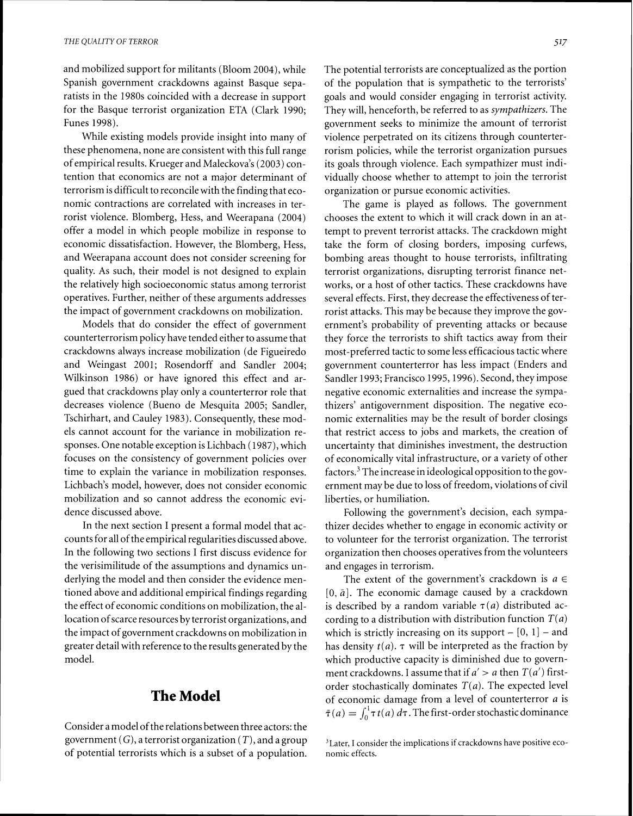and mobilized support for militants (Bloom 2004), while Spanish government crackdowns against Basque separatists in the 1980s coincided with a decrease in support for the Basque terrorist organization ETA (Clark 1990; Funes 1998).

While existing models provide insight into many of these phenomena, none are consistent with this full range of empirical results. Krueger and Maleckova's (2003) contention that economics are not a major determinant of terrorism is difficult to reconcile with the finding that economic contractions are correlated with increases in terrorist violence. Blomberg, Hess, and Weerapana (2004) offer a model in which people mobilize in response to economic dissatisfaction. However, the Blomberg, Hess, and Weerapana account does not consider screening for quality. As such, their model is not designed to explain the relatively high socioeconomic status among terrorist operatives. Further, neither of these arguments addresses the impact of government crackdowns on mobilization.

Models that do consider the effect of government counterterrorism policy have tended either to assume that crackdowns always increase mobilization (de Figueiredo and Weingast 2001; Rosendorff and Sandler 2004; Wilkinson 1986) or have ignored this effect and argued that crackdowns play only a counterterror role that decreases violence (Bueno de Mesquita 2005; Sandler, Tschirhart, and Cauley 1983). Consequently, these models cannot account for the variance in mobilization responses. One notable exception is Lichbach (1987), which focuses on the consistency of government policies over time to explain the variance in mobilization responses. Lichbach's model, however, does not consider economic mobilization and so cannot address the economic evidence discussed above.

In the next section I present a formal model that accounts for all of the empirical regularities discussed above. In the following two sections I first discuss evidence for the verisimilitude of the assumptions and dynamics underlying the model and then consider the evidence mentioned above and additional empirical findings regarding the effect of economic conditions on mobilization, the allocation of scarce resources by terrorist organizations, and the impact of government crackdowns on mobilization in greater detail with reference to the results generated by the model.

## **The Model**

Consider a model of the relations between three actors: the government  $(G)$ , a terrorist organization  $(T)$ , and a group of potential terrorists which is a subset of a population. The potential terrorists are conceptualized as the portion of the population that is sympathetic to the terrorists' goals and would consider engaging in terrorist activity. They will, henceforth, be referred to as sympathizers. The government seeks to minimize the amount of terrorist violence perpetrated on its citizens through counterterrorism policies, while the terrorist organization pursues its goals through violence. Each sympathizer must individually choose whether to attempt to join the terrorist organization or pursue economic activities.

The game is played as follows. The government chooses the extent to which it will crack down in an attempt to prevent terrorist attacks. The crackdown might take the form of closing borders, imposing curfews, bombing areas thought to house terrorists, infiltrating terrorist organizations, disrupting terrorist finance networks, or a host of other tactics. These crackdowns have several effects. First, they decrease the effectiveness of terrorist attacks. This may be because they improve the government's probability of preventing attacks or because they force the terrorists to shift tactics away from their most-preferred tactic to some less efficacious tactic where government counterterror has less impact (Enders and Sandler 1993; Francisco 1995,1996). Second, they impose negative economic externalities and increase the sympathizers' antigovernment disposition. The negative economic externalities may be the result of border closings that restrict access to jobs and markets, the creation of uncertainty that diminishes investment, the destruction of economically vital infrastructure, or a variety of other factors.<sup>3</sup> The increase in ideological opposition to the government may be due to loss of freedom, violations of civil liberties, or humiliation.

Following the government's decision, each sympathizer decides whether to engage in economic activity or to volunteer for the terrorist organization. The terrorist organization then chooses operatives from the volunteers and engages in terrorism.

The extent of the government's crackdown is  $a \in$  $[0, \bar{a}]$ . The economic damage caused by a crackdown is described by a random variable  $\tau(a)$  distributed according to a distribution with distribution function *T(a)*  which is strictly increasing on its support  $-[0, 1]$  – and has density  $t(a)$ .  $\tau$  will be interpreted as the fraction by which productive capacity is diminished due to government crackdowns. I assume that if  $a' > a$  then  $T(a')$  firstorder stochastically dominates  $T(a)$ . The expected level of economic damage from a level of counterterror a is  $\bar{\tau}(a) = \int_0^1 \tau t(a) d\tau$ . The first-order stochastic dominance

<sup>&</sup>lt;sup>3</sup> Later, I consider the implications if crackdowns have positive economic effects.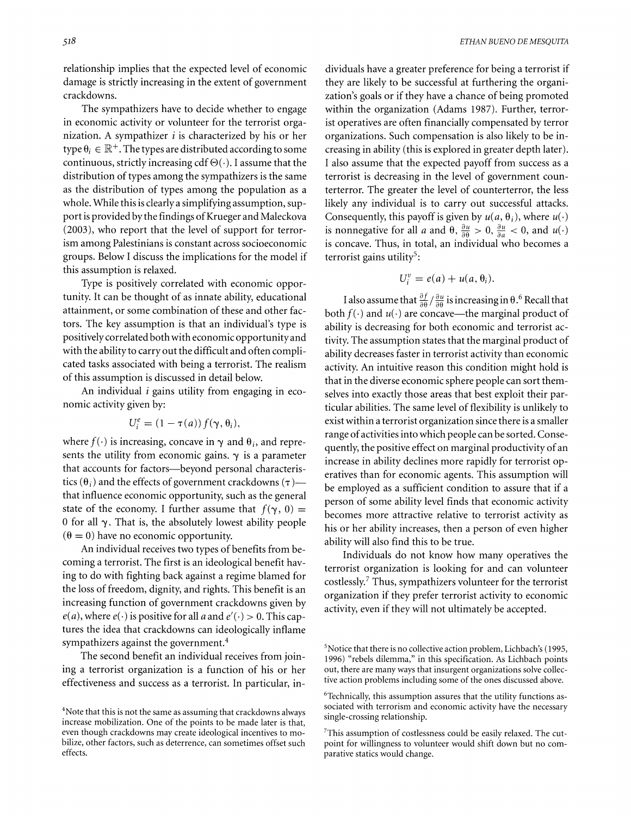relationship implies that the expected level of economic damage is strictly increasing in the extent of government crackdowns.

The sympathizers have to decide whether to engage in economic activity or volunteer for the terrorist organization. A sympathizer  $i$  is characterized by his or her type  $\theta_i \in \mathbb{R}^+$ . The types are distributed according to some continuous, strictly increasing cdf  $\Theta(\cdot)$ . I assume that the distribution of types among the sympathizers is the same as the distribution of types among the population as a whole. While this is clearly a simplifying assumption, support is provided by the findings of Krueger and Maleckova (2003), who report that the level of support for terrorism among Palestinians is constant across socioeconomic groups. Below I discuss the implications for the model if this assumption is relaxed.

Type is positively correlated with economic opportunity. It can be thought of as innate ability, educational attainment, or some combination of these and other factors. The key assumption is that an individual's type is positively correlated both with economic opportunity and with the ability to carry out the difficult and often complicated tasks associated with being a terrorist. The realism of this assumption is discussed in detail below.

An individual **i** gains utility from engaging in economic activity given by:

$$
U_i^e = (1 - \tau(a)) f(\gamma, \theta_i)
$$

where  $f(\cdot)$  is increasing, concave in  $\gamma$  and  $\theta_i$ , and represents the utility from economic gains.  $\gamma$  is a parameter that accounts for factors—beyond personal characteristics ( $\theta_i$ ) and the effects of government crackdowns ( $\tau$ )-that influence economic opportunity, such as the general state of the economy. I further assume that  $f(\gamma, 0) =$ 0 for all  $\gamma$ . That is, the absolutely lowest ability people  $(\theta = 0)$  have no economic opportunity.

An individual receives two types of benefits from becoming a terrorist. The first is an ideological benefit having to do with fighting back against a regime blamed for the loss of freedom, dignity, and rights. This benefit is an increasing function of government crackdowns given by  $e(a)$ , where  $e(\cdot)$  is positive for all a and  $e'(\cdot) > 0$ . This captures the idea that crackdowns can ideologically inflame sympathizers against the government. $4$ 

The second benefit an individual receives from joining a terrorist organization is a function of his or her effectiveness and success as a terrorist. In particular, in-

dividuals have a greater preference for being a terrorist if they are likely to be successful at furthering the organization's goals or if they have a chance of being promoted within the organization (Adams 1987). Further, terrorist operatives are often financially compensated by terror organizations. Such compensation is also likely to be increasing in ability (this is explored in greater depth later). I also assume that the expected payoff from success as a terrorist is decreasing in the level of government counterterror. The greater the level of counterterror, the less likely any individual is to carry out successful attacks. Consequently, this payoff is given by  $u(a, \theta_i)$ , where  $u(\cdot)$ is nonnegative for all a and  $\theta$ ,  $\frac{\partial u}{\partial \theta} > 0$ ,  $\frac{\partial u}{\partial a} < 0$ , and  $u(\cdot)$ is concave. Thus, in total, an individual who becomes a terrorist gains utility<sup>5</sup>:

$$
U_i^v = e(a) + u(a, \theta_i).
$$

I also assume that  $\frac{\partial f}{\partial \theta} / \frac{\partial u}{\partial \theta}$  is increasing in  $\theta$ .<sup>6</sup> Recall that both  $f(\cdot)$  and  $u(\cdot)$  are concave—the marginal product of ability is decreasing for both economic and terrorist activity. The assumption states that the marginal product of ability decreases faster in terrorist activity than economic activity. An intuitive reason this condition might hold is that in the diverse economic sphere people can sort themselves into exactly those areas that best exploit their particular abilities. The same level of flexibility is unlikely to exist within a terrorist organization since there is a smaller range of activities into which people can be sorted. Consequently, the positive effect on marginal productivity of an increase in ability declines more rapidly for terrorist operatives than for economic agents. This assumption will be employed as a sufficient condition to assure that if a person of some ability level finds that economic activity becomes more attractive relative to terrorist activity as his or her ability increases, then a person of even higher ability will also find this to be true.

Individuals do not know how many operatives the terrorist organization is looking for and can volunteer costlessly.' Thus, sympathizers volunteer for the terrorist organization if they prefer terrorist activity to economic activity, even if they will not ultimately be accepted.

<sup>&</sup>lt;sup>4</sup>Note that this is not the same as assuming that crackdowns always increase mobilization. One of the points to be made later is that, even though crackdowns may create ideological incentives to mobilize, other factors, such as deterrence, can sometimes offset such effects.

<sup>&</sup>lt;sup>5</sup> Notice that there is no collective action problem, Lichbach's (1995, 1996) "rebels dilemma," in this specification. As Lichbach points out, there are many ways that insurgent organizations solve collective action problems including some of the ones discussed above.

<sup>&</sup>lt;sup>6</sup>Technically, this assumption assures that the utility functions associated with terrorism and economic activity have the necessary single-crossing relationship.

 $7$ This assumption of costlessness could be easily relaxed. The cutpoint for willingness to volunteer would shift down but no comparative statics would change.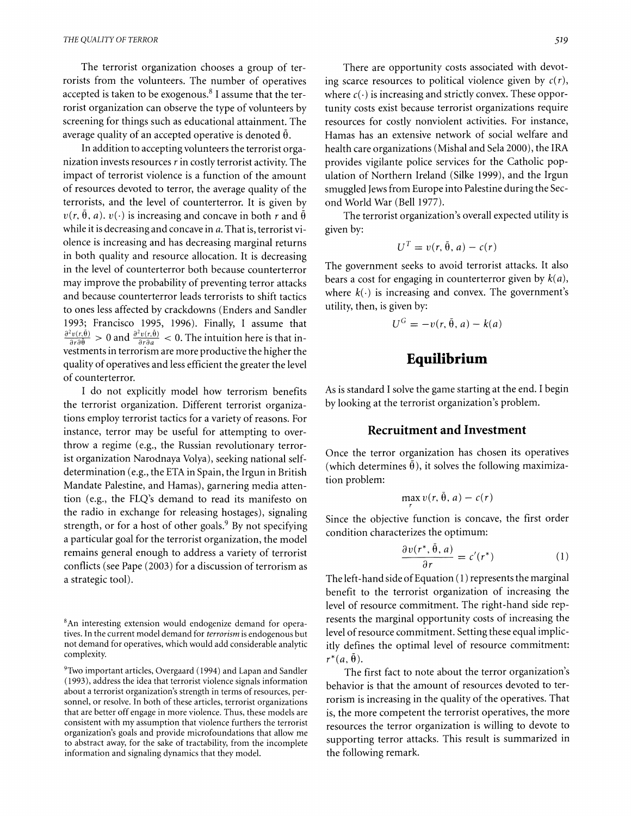The terrorist organization chooses a group of terrorists from the volunteers. The number of operatives accepted is taken to be exogenous. $8$  I assume that the terrorist organization can observe the type of volunteers by screening for things such as educational attainment. The average quality of an accepted operative is denoted  $\bar{\theta}$ .

In addition to accepting volunteers the terrorist organization invests resources  $r$  in costly terrorist activity. The impact of terrorist violence is a function of the amount of resources devoted to terror, the average quality of the terrorists, and the level of counterterror. It is given by  $v(r, \theta, a)$ .  $v(\cdot)$  is increasing and concave in both r and  $\bar{\theta}$ while it is decreasing and concave in a. That is, terrorist violence is increasing and has decreasing marginal returns in both quality and resource allocation. It is decreasing in the level of counterterror both because counterterror may improve the probability of preventing terror attacks and because counterterror leads terrorists to shift tactics to ones less affected by crackdowns (Enders and Sandler 1993; Francisco 1995, 1996). Finally, I assume that  $\frac{\partial^2 v(r, \tilde{\theta})}{\partial r \partial \tilde{\theta}} > 0$  and  $\frac{\partial^2 v(r, \tilde{\theta})}{\partial r \partial \theta} < 0$ . The intuition here is that investments in terrorism are more productive the higher the quality of operatives and less efficient the greater the level of counterterror.

I do not explicitly model how terrorism benefits the terrorist organization. Different terrorist organizations employ terrorist tactics for a variety of reasons. For instance, terror may be useful for attempting to overthrow a regime (e.g., the Russian revolutionary terrorist organization Narodnaya Volya), seeking national selfdetermination (e.g., the ETA in Spain, the Irgun in British Mandate Palestine, and Hamas), garnering media attention (e.g., the FLQ's demand to read its manifesto on the radio in exchange for releasing hostages), signaling strength, or for a host of other goals.<sup>9</sup> By not specifying a particular goal for the terrorist organization, the model remains general enough to address a variety of terrorist conflicts (see Pape (2003) for a discussion of terrorism as a strategic tool).

There are opportunity costs associated with devoting scarce resources to political violence given by  $c(r)$ , where  $c(\cdot)$  is increasing and strictly convex. These opportunity costs exist because terrorist organizations require resources for costly nonviolent activities. For instance, Hamas has an extensive network of social welfare and health care organizations (Mishal and Sela 2000), the IRA provides vigilante police services for the Catholic population of Northern Ireland (Silke 1999), and the Irgun smuggled Jews from Europe into Palestine during the Second World War (Bell 1977).

The terrorist organization's overall expected utility is given by:

$$
U^T = v(r, \bar{\theta}, a) - c(r)
$$

The government seeks to avoid terrorist attacks. It also bears a cost for engaging in counterterror given by  $k(a)$ , where  $k(\cdot)$  is increasing and convex. The government's utility, then, is given by:

$$
U^G = -v(r, \bar{\theta}, a) - k(a)
$$

## **Equilibrium**

As is standard I solve the game starting at the end. I begin by looking at the terrorist organization's problem.

#### **Recruitment and Investment**

Once the terror organization has chosen its operatives (which determines  $\bar{\theta}$ ), it solves the following maximization problem:

$$
\max_{r} v(r, \bar{\theta}, a) - c(r)
$$

Since the objective function is concave, the first order condition characterizes the optimum:

$$
\frac{\partial v(r^*, \bar{\theta}, a)}{\partial r} = c'(r^*)
$$
 (1)

The left-hand side of Equation (1) represents the marginal benefit to the terrorist organization of increasing the level of resource commitment. The right-hand side represents the marginal opportunity costs of increasing the level of resource commitment. Setting these equal implicitly defines the optimal level of resource commitment:  $r^*(a, \bar{\theta}).$ 

The first fact to note about the terror organization's behavior is that the amount of resources devoted to terrorism is increasing in the quality of the operatives. That is, the more competent the terrorist operatives, the more resources the terror organization is willing to devote to supporting terror attacks. This result is summarized in the following remark.

<sup>&#</sup>x27;An interesting extension would endogenize demand for operatives. In the current model demand for terrorism is endogenous but not demand for operatives, which would add considerable analytic complexity.

<sup>&#</sup>x27;Two important articles, Overgaard (1994) and Lapan and Sandler (1993), address the idea that terrorist violence signals information about a terrorist organization's strength in terms of resources, personnel, or resolve. In both of these articles, terrorist organizations that are better off engage in more violence. Thus, these models are consistent with my assumption that violence furthers the terrorist organization's goals and provide microfoundations that allow me to abstract away, for the sake of tractability, from the incomplete information and signaling dynamics that they model.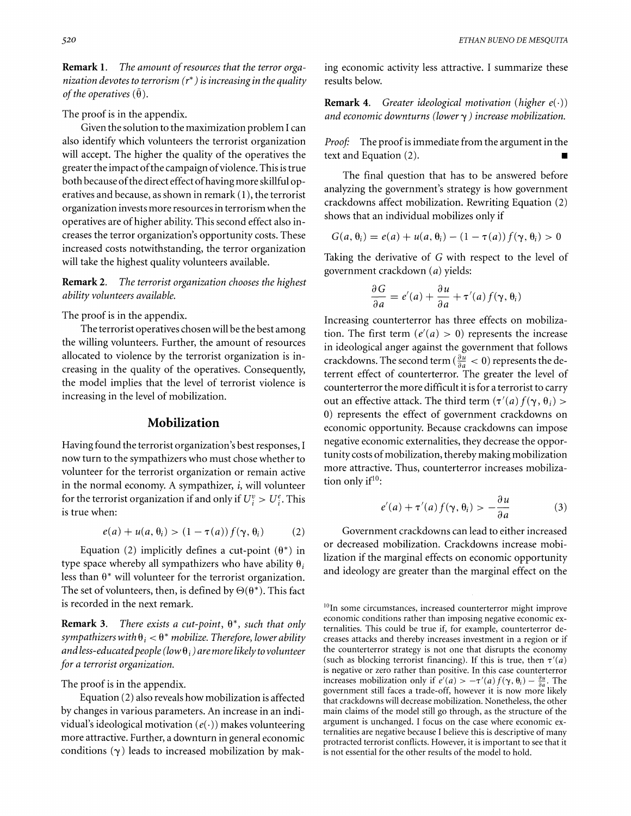**Remark 1.** *The amount of resources that the terror orga-* ing economic activity less attractive. I summarize these *nization devotes to terrorism (r\*)is increasing in the quality* results below. *of the operatives*  $(\bar{\theta})$ .

The proof is in the appendix.

Given the solution to the maximization problem I can also identify which volunteers the terrorist organization will accept. The higher the quality of the operatives the greater the impact of the campaign of violence. This is true both because of the direct effect ofhaving more skillfuloperatives and because, as shown in remark  $(1)$ , the terrorist organization invests more resources in terrorism when the operatives are of higher ability. This second effect also increases the terror organization's opportunity costs. These increased costs notwithstanding, the terror organization will take the highest quality volunteers available.

**Remark 2.** *The terrorist organization chooses the highest ability volunteers available.* 

The proof is in the appendix.

The terrorist operatives chosen will be the best among the willing volunteers. Further, the amount of resources allocated to violence by the terrorist organization is increasing in the quality of the operatives. Consequently, the model implies that the level of terrorist violence is increasing in the level of mobilization.

#### **Mobilization**

Having found the terrorist organization's best responses, I now turn to the sympathizers who must chose whether to volunteer for the terrorist organization or remain active in the normal economy. A sympathizer,  $i$ , will volunteer for the terrorist organization if and only if  $U_i^v > U_i^e$ . This is true when:

$$
e(a) + u(a, \theta_i) > (1 - \tau(a)) f(\gamma, \theta_i)
$$
 (2)

Equation (2) implicitly defines a cut-point  $(\theta^*)$  in type space whereby all sympathizers who have ability  $\theta_i$ less than  $\theta^*$  will volunteer for the terrorist organization. The set of volunteers, then, is defined by  $\Theta(\theta^*)$ . This fact is recorded in the next remark.

**Remark 3.** *There exists a cut-point, 0\*, such that only sympathizers with*  $\theta_i < \theta^*$  *mobilize. Therefore, lower ability*  $a$ nd less-educated people (low  $\theta_i$ ) are more likely to volunteer *for a terrorist organization.* 

The proof is in the appendix.

Equation *(2)*also reveals how mobilization is affected by changes in various parameters. An increase in an individual's ideological motivation  $(e(\cdot))$  makes volunteering more attractive. Further, a downturn in general economic conditions  $(\gamma)$  leads to increased mobilization by mak-

**Remark 4.** *Greater ideological motivation (higher e(.)) and economic downturns (lowery* ) *increase mobilization.* 

*Proof:* The proof is immediate from the argument in the text and Equation (2).

The final question that has to be answered before analyzing the government's strategy is how government crackdowns affect mobilization. Rewriting Equation (2) shows that an individual mobilizes only if

$$
G(a, \theta_i) = e(a) + u(a, \theta_i) - (1 - \tau(a)) f(\gamma, \theta_i) > 0
$$

Taking the derivative of *G* with respect to the level of government crackdown *(a)*yields:

$$
\frac{\partial G}{\partial a} = e'(a) + \frac{\partial u}{\partial a} + \tau'(a) f(\gamma, \theta_i)
$$

Increasing counterterror has three effects on mobilization. The first term  $(e'(a) > 0)$  represents the increase in ideological anger against the government that follows crackdowns. The second term ( $\frac{\partial u}{\partial a} < 0$ ) represents the deterrent effect of counterterror. The greater the level of counterterror the more difficult it is for a terrorist to carry out an effective attack. The third term  $(\tau'(a) f(\gamma, \theta_i)$ *0)* represents the effect of government crackdowns on economic opportunity. Because crackdowns can impose negative economic externalities, they decrease the opportunity costs of mobilization, thereby making mobilization more attractive. Thus, counterterror increases mobilization only if $10$ :

$$
e'(a) + \tau'(a) f(\gamma, \theta_i) > -\frac{\partial u}{\partial a}
$$
 (3)

Government crackdowns can lead to either increased or decreased mobilization. Crackdowns increase mobilization if the marginal effects on economic opportunity and ideology are greater than the marginal effect on the

 $^{10}$ In some circumstances, increased counterterror might improve economic conditions rather than imposing negative economic externalities. This could be true if, for example, counterterror decreases attacks and thereby increases investment in a region or if the counterterror strategy is not one that disrupts the economy (such as blocking terrorist financing). If this is true, then  $\tau'(a)$ is negative or zero rather than positive. In this case counterterror increases mobilization only if  $e'(a) > -\tau'(a) f(\gamma, \theta_i) - \frac{\partial u}{\partial a}$ . The government still faces a trade-off, however it is now more likely that crackdowns will decrease mobilization. Nonetheless, the other main claims of the model still go through, as the structure of the argument is unchanged. I focus on the case where economic externalities are negative because I believe this is descriptive of many protracted terrorist conflicts. However, it is important to see that it is not essential for the other results of the model to hold.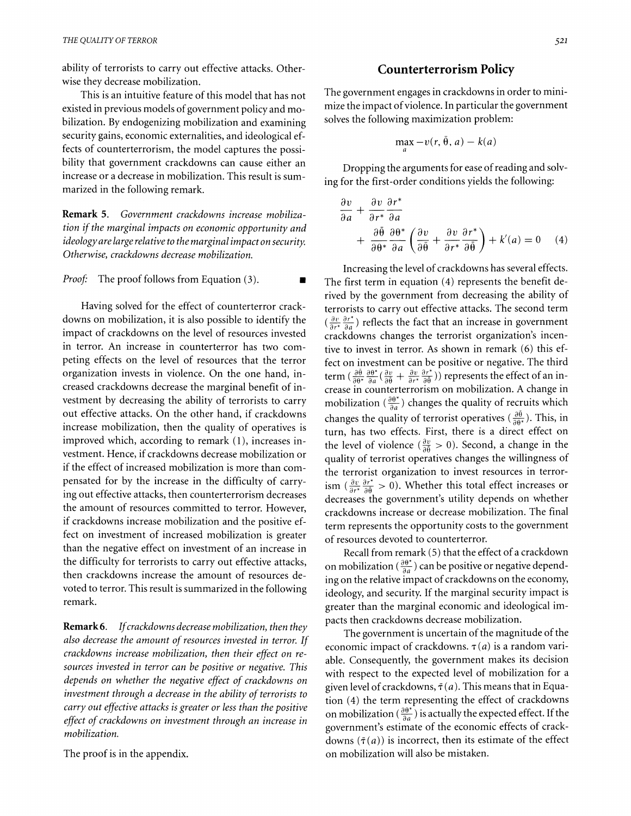ability of terrorists to carry out effective attacks. Otherwise they decrease mobilization.

This is an intuitive feature of this model that has not existed in previous models of government policy and mobilization. By endogenizing mobilization and examining security gains, economic externalities, and ideological effects of counterterrorism, the model captures the possibility that government crackdowns can cause either an increase or a decrease in mobilization. This result is summarized in the following remark.

**Remark 5.** *Government crackdowns increase mobilization if the marginal impacts on economic opportunity and ideology are large relative to the marginal impact on securit)! Otherwise, crackdowns decrease mobilization.* 

*Proof:* The proof follows from Equation (3).

Having solved for the effect of counterterror crackdowns on mobilization, it is also possible to identify the impact of crackdowns on the level of resources invested in terror. An increase in counterterror has two competing effects on the level of resources that the terror organization invests in violence. On the one hand, increased crackdowns decrease the marginal benefit of investment by decreasing the ability of terrorists to carry out effective attacks. On the other hand, if crackdowns improved which, according to remark (I), increases investment. Hence, if crackdowns decrease mobilization or if the effect of increased mobilization is more than compensated for by the increase in the difficulty of carrying out effective attacks, then counterterrorism decreases the amount of resources committed to terror. However, if crackdowns increase mobilization and the positive effect on investment of increased mobilization is greater than the negative effect on investment of an increase in the difficulty for terrorists to carry out effective attacks, then crackdowns increase the amount of resources devoted to terror. This result is summarized in the following remark.

**Remark6.** *If crackdowns decrease mobilization, then they also decrease the amount of resources invested in terror. If crackdowns increase mobilization, then their effect on resources invested in terror can be positive or negative. This depends on whether the negative effect of crackdowns on investment through a decrease in the ability of terrorists to carry out effective attacks is greater or less than the positive effect of crackdowns on investment through an increase* **in**  *mobilization.* 

The proof is in the appendix.

#### **Counterterrorism Policy**

The government engages in crackdowns in order to minimize the impact of violence. In particular the government solves the following maximization problem:

$$
\max_{a} -v(r, \bar{\theta}, a) - k(a)
$$

**fl** 

Dropping the arguments for ease of reading and solving for the first-order conditions yields the following:

$$
\frac{\partial v}{\partial a} + \frac{\partial v}{\partial r^*} \frac{\partial r^*}{\partial a} + \frac{\partial \bar{\theta}}{\partial \theta^*} \frac{\partial \theta^*}{\partial a} \left( \frac{\partial v}{\partial \bar{\theta}} + \frac{\partial v}{\partial r^*} \frac{\partial r^*}{\partial \bar{\theta}} \right) + k'(a) = 0 \quad (4)
$$

Increasing the level of crackdowns has several effects. The first term in equation (4) represents the benefit derived by the government from decreasing the ability of terrorists to carry out effective attacks. The second term  $\left(\frac{\partial v}{\partial r^*}\frac{\partial r^*}{\partial q}\right)$  reflects the fact that an increase in government crackdowns changes the terrorist organization's incentive to invest in terror. As shown in remark (6) this effect on investment can be positive or negative. The third **EXECUTE THE CONDUCT CONDUCT CONDUCT CONDUCT**<br> **EXECUTE:**  $\left(\frac{\partial \theta}{\partial \theta^1}, \frac{\partial \theta^2}{\partial a} \left( \frac{\partial v}{\partial \theta} + \frac{\partial v}{\partial r^*}, \frac{\partial r^*}{\partial \theta} \right)\right)$  represents the effect of an in-<br>
crease in counterterrorism on mobilization. A change mobilization  $\left(\frac{\partial \theta^*}{\partial a}\right)$  changes the quality of recruits which out effective attacks. On the other hand, if crackdowns changes the quality of terrorist operatives  $(\frac{\partial \hat{\theta}}{\partial \theta^*})$ . This, in crease mobilization, then the quality of operatives is  $\frac{1}{2}$  the property of terrorist o turn, has two effects. First, there is a direct effect on the level of violence  $(\frac{\partial v}{\partial \theta} > 0)$ . Second, a change in the quality of terrorist operatives changes the willingness of the terrorist organization to invest resources in terrorism  $\left(\frac{\partial v}{\partial r^*} \frac{\partial r^*}{\partial \hat{\theta}} > 0\right)$ . Whether this total effect increases or decreases the government's utility depends on whether crackdowns increase or decrease mobilization. The final term represents the opportunity costs to the government of resources devoted to counterterror.

> Recall from remark  $(5)$  that the effect of a crackdown on mobilization ( $\frac{\partial \theta^*}{\partial a}$ ) can be positive or negative depending on the relative impact of crackdowns on the economy, ideology, and security. If the marginal security impact is greater than the marginal economic and ideological impacts then crackdowns decrease mobilization.

> The government is uncertain of the magnitude of the economic impact of crackdowns.  $\tau(a)$  is a random variable. Consequently, the government makes its decision with respect to the expected level of mobilization for a given level of crackdowns,  $\bar{\tau}(a)$ . This means that in Equation *(4)* the term representing the effect of crackdowns on mobilization ( $\frac{\partial \theta^*}{\partial a}$ ) is actually the expected effect. If the government's estimate of the economic effects of crackdowns  $(\bar{\tau}(a))$  is incorrect, then its estimate of the effect on mobilization will also be mistaken.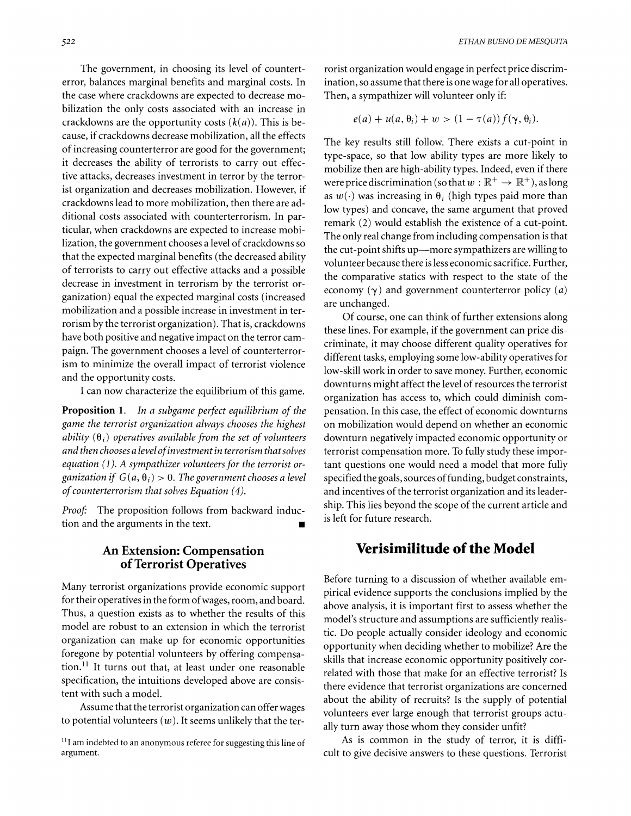error, balances marginal benefits and marginal costs. In ination, so assume that there is one wage for all operatives. the case where crackdowns are expected to decrease mo- Then, a sympathizer will volunteer only if: bilization the only costs associated with an increase in  $\operatorname{er}_a(\alpha) + u(a, \theta_i) + w > (1 - \tau(a)) f(\gamma, \theta_i).$ <br>
crackdowns are the opportunity costs  $(k(a))$ . This is because, if crackdowns decrease mobilization, all the effects of increasing counterterror are good for the government; it decreases the ability of terrorists to carry out effective attacks, decreases investment in terror by the terrorist organization and decreases mobilization. However, if crackdowns lead to more mobilization, then there are additional costs associated with counterterrorism. In particular, when crackdowns are expected to increase mobilization, the government chooses a level of crackdowns so that the expected marginal benefits (the decreased ability of terrorists to carry out effective attacks and a possible decrease in investment in terrorism by the terrorist organization) equal the expected marginal costs (increased mobilization and a possible increase in investment in terrorism by the terrorist organization). That is, crackdowns have both positive and negative impact on the terror campaign. The government chooses a level of counterterrorism to minimize the overall impact of terrorist violence and the opportunity costs.

I can now characterize the equilibrium of this game.

**Proposition 1.** In a subgame perfect equilibrium of the game the terrorist organization always chooses the highest ability  $(\theta_i)$  operatives available from the set of volunteers and then chooses a level of investment in terrorism that solves equation *(1).* A sympathizer volunteers for the terrorist organization if  $G(a, \theta_i) > 0$ . The government chooses a level of counterterrorism that solves Equation *(4).* 

Proof: The proposition follows from backward induction and the arguments in the text. **<sup>w</sup>**

#### **An Extension: Compensation of Terrorist Operatives**

Many terrorist organizations provide economic support for their operatives in the form of wages, room, and board. Thus, a question exists as to whether the results of this model are robust to an extension in which the terrorist organization can make up for economic opportunities foregone by potential volunteers by offering compensation. $^{11}$  It turns out that, at least under one reasonable specification, the intuitions developed above are consistent with such a model.

Assume that the terrorist organization can offer wages to potential volunteers  $(w)$ . It seems unlikely that the ter-

The government, in choosing its level of countert- rorist organization would engage in perfect price discrim-

$$
e(a) + u(a, \theta_i) + w > (1 - \tau(a)) f(\gamma, \theta_i)
$$

The key results still follow. There exists a cut-point in type-space, so that low ability types are more likely to mobilize then are high-ability types. Indeed, even if there were price discrimination (so that  $w:\mathbb{R}^+\to\mathbb{R}^+$ ), as long as  $w(\cdot)$  was increasing in  $\theta_i$  (high types paid more than low types) and concave, the same argument that proved remark (2) would establish the existence of a cut-point. The only real change from including compensation is that the cut-point shifts up-more sympathizers are willing to volunteer because there is less economic sacrifice. Further, the comparative statics with respect to the state of the economy  $(\gamma)$  and government counterterror policy  $(a)$ are unchanged.

Of course, one can think of further extensions along these lines. For example, if the government can price discriminate, it may choose different quality operatives for different tasks, employing some low-ability operatives for low-skill work in order to save money. Further, economic downturns might affect the level of resources the terrorist organization has access to, which could diminish compensation. In this case, the effect of economic downturns on mobilization would depend on whether an economic downturn negatively impacted economic opportunity or terrorist compensation more. To fully study these important questions one would need a model that more fully specified the goals, sources of funding, budget constraints, and incentives of the terrorist organization and its leadership. This lies beyond the scope of the current article and is left for future research.

## **Verisimilitude of the Model**

Before turning to a discussion of whether available empirical evidence supports the conclusions implied by the above analysis, it is important first to assess whether the model's structure and assumptions are sufficiently realistic. Do people actually consider ideology and economic opportunity when deciding whether to mobilize? Are the skills that increase economic opportunity positively correlated with those that make for an effective terrorist? Is there evidence that terrorist organizations are concerned about the ability of recruits? Is the supply of potential volunteers ever large enough that terrorist groups actually turn away those whom they consider unfit?

As is common in the study of terror, it is difficult to give decisive answers to these questions. Terrorist

 $<sup>11</sup>$ I am indebted to an anonymous referee for suggesting this line of</sup> argument.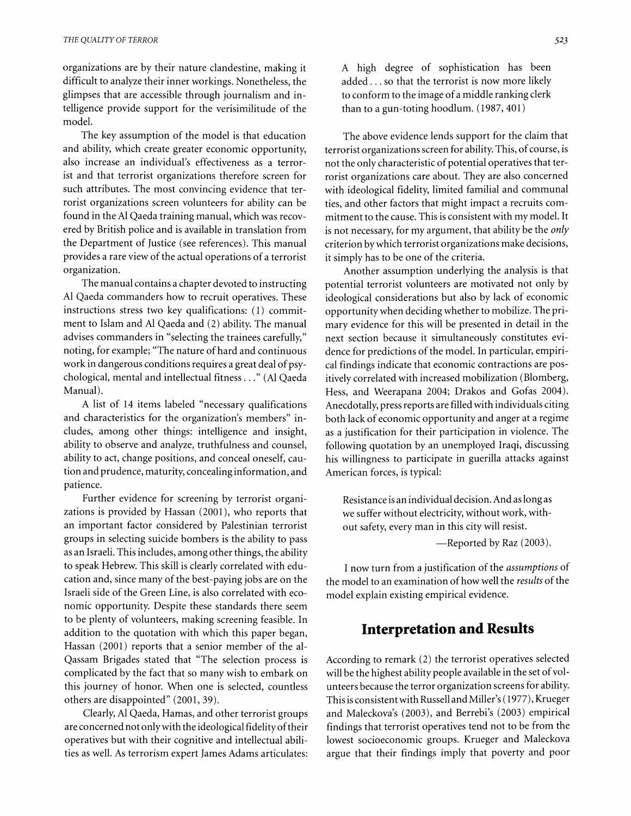organizations are by their nature clandestine, making it difficult to analyze their inner workings. Nonetheless, the glimpses that are accessible through journalism and intelligence provide support for the verisimilitude of the model.

The key assumption of the model is that education and ability, which create greater economic opportunity, also increase an individual's effectiveness as a terrorist and that terrorist organizations therefore screen for such attributes. The most convincing evidence that terrorist organizations screen volunteers for ability can be found in the A1 Qaeda training manual, which was recovered by British police and is available in translation from the Department of Justice (see references). This manual provides a rare view of the actual operations of a terrorist organization.

The manual contains a chapter devoted to instructing A1 Qaeda commanders how to recruit operatives. These instructions stress two key qualifications: (1) commitment to Islam and A1 Qaeda and (2) ability. The manual advises commanders in "selecting the trainees carefully," noting, for example; "The nature of hard and continuous work in dangerous conditions requires a great deal of psychological, mental and intellectual fitness. . ." (A1 Qaeda Manual).

A list of 14 items labeled "necessary qualifications and characteristics for the organization's members" includes, among other things: intelligence and insight, ability to observe and analyze, truthfulness and counsel, ability to act, change positions, and conceal oneself, caution and prudence, maturity, concealing information, and patience.

Further evidence for screening by terrorist organizations is provided by Hassan (2001), who reports that an important factor considered by Palestinian terrorist groups in selecting suicide bombers is the ability to pass as an Israeli. This includes, among other things, the ability to speak Hebrew. This skill is clearly correlated with education and, since many of the best-paying jobs are on the Israeli side of the Green Line, is also correlated with economic opportunity. Despite these standards there seem to be plenty of volunteers, making screening feasible. In addition to the quotation with which this paper began, Hassan (2001) reports that a senior member of the al-Qassam Brigades stated that "The selection process is complicated by the fact that so many wish to embark on this journey of honor. When one is selected, countless others are disappointed" (2001, 39).

Clearly, A1 Qaeda, Hamas, and other terrorist groups are concerned not only with the ideological fidelity of their operatives but with their cognitive and intellectual abilities as well. As terrorism expert James Adams articulates: A high degree of sophistication has been added. . . so that the terrorist is now more likely to conform to the image of a middle ranking clerk than to a gun-toting hoodlum. (1987, 401)

The above evidence lends support for the claim that terrorist organizations screen for ability. This, of course, is not the only characteristic of potential operatives that terrorist organizations care about. They are also concerned with ideological fidelity, limited familial and communal ties, and other factors that might impact a recruits commitment to the cause. This is consistent with my model. It is not necessary, for my argument, that ability be the *only*  criterion by which terrorist organizations make decisions, it simply has to be one of the criteria.

Another assumption underlying the analysis is that potential terrorist volunteers are motivated not only by ideological considerations but also by lack of economic opportunity when deciding whether to mobilize. The primary evidence for this will be presented in detail in the next section because it simultaneously constitutes evidence for predictions of the model. In particular, empirical findings indicate that economic contractions are positively correlated with increased mobilization (Blomberg, Hess, and Weerapana 2004; Drakos and Gofas 2004). Anecdotally, press reports are filled with individuals citing both lack of economic opportunity and anger at a regime as a justification for their participation in violence. The following quotation by an unemployed Iraqi, discussing his willingness to participate in guerilla attacks against American forces, is typical:

Resistance is an individual decision. And as long as we suffer without electricity, without work, without safety, every man in this city will resist. -Reported by Raz (2003).

I now turn from a justification of the *assumptions* of the model to an examination of how well the *results* of the model explain existing empirical evidence.

## **Interpretation and Results**

According to remark (2) the terrorist operatives selected will be the highest ability people available in the set of volunteers because the terror organization screens for ability. This is consistent with Russell and Miller's (1977), Krueger and Maleckova's (2003), and Berrebi's (2003) empirical findings that terrorist operatives tend not to be from the lowest socioeconomic groups. Krueger and Maleckova argue that their findings imply that poverty and poor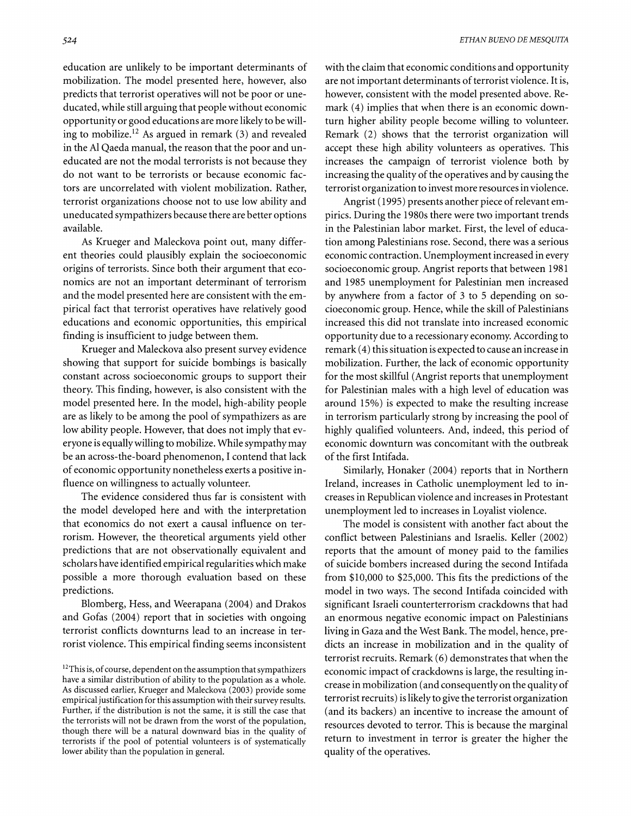education are unlikely to be important determinants of mobilization. The model presented here, however, also predicts that terrorist operatives will not be poor or uneducated, while still arguing that people without economic opportunity or good educations are more likely to be willing to mobilize.<sup>12</sup> As argued in remark  $(3)$  and revealed in the A1 Qaeda manual, the reason that the poor and uneducated are not the modal terrorists is not because they do not want to be terrorists or because economic factors are uncorrelated with violent mobilization. Rather, terrorist organizations choose not to use low ability and uneducated sympathizers because there are better options available.

As Krueger and Maleckova point out, many different theories could plausibly explain the socioeconomic origins of terrorists. Since both their argument that economics are not an important determinant of terrorism and the model presented here are consistent with the empirical fact that terrorist operatives have relatively good educations and economic opportunities, this empirical finding is insufficient to judge between them.

Krueger and Maleckova also present survey evidence showing that support for suicide bombings is basically constant across socioeconomic groups to support their theory. This finding, however, is also consistent with the model presented here. In the model, high-ability people are as likely to be among the pool of sympathizers as are low ability people. However, that does not imply that everyone is equallywilling to mobilize. While sympathy may be an across-the-board phenomenon, I contend that lack of economic opportunity nonetheless exerts a positive influence on willingness to actually volunteer.

The evidence considered thus far is consistent with the model developed here and with the interpretation that economics do not exert a causal influence on terrorism. However, the theoretical arguments yield other predictions that are not observationally equivalent and scholars have identified empirical regularities which make possible a more thorough evaluation based on these predictions.

Blomberg, Hess, and Weerapana (2004) and Drakos and Gofas (2004) report that in societies with ongoing terrorist conflicts downturns lead to an increase in terrorist violence. This empirical finding seems inconsistent with the claim that economic conditions and opportunity are not important determinants of terrorist violence. It is, however, consistent with the model presented above. Remark (4) implies that when there is an economic downturn higher ability people become willing to volunteer. Remark (2) shows that the terrorist organization will accept these high ability volunteers as operatives. This increases the campaign of terrorist violence both by increasing the quality of the operatives and by causing the terrorist organization to invest more resources in violence.

Angrist (1995) presents another piece of relevant empirics. During the 1980s there were two important trends in the Palestinian labor market. First, the level of education among Palestinians rose. Second, there was a serious economic contraction. Unemployment increased in every socioeconomic group. Angrist reports that between 1981 and 1985 unemployment for Palestinian men increased by anywhere from a factor of 3 to *5* depending on socioeconomic group. Hence, while the skill of Palestinians increased this did not translate into increased economic opportunity due to a recessionary economy. According to remark (4) this situation is expected to cause an increase in mobilization. Further, the lack of economic opportunity for the most skillful (Angrist reports that unemployment for Palestinian males with a high level of education was around 15%) is expected to make the resulting increase in terrorism particularly strong by increasing the pool of highly qualified volunteers. And, indeed, this period of economic downturn was concomitant with the outbreak of the first Intifada.

Similarly, Honaker (2004) reports that in Northern Ireland, increases in Catholic unemployment led to increases in Republican violence and increases in Protestant unemployment led to increases in Loyalist violence.

The model is consistent with another fact about the conflict between Palestinians and Israelis. Keller (2002) reports that the amount of money paid to the families of suicide bombers increased during the second Intifada from \$10,000 to \$25,000. This fits the predictions of the model in two ways. The second Intifada coincided with significant Israeli counterterrorism crackdowns that had an enormous negative economic impact on Palestinians living in Gaza and the West Bank. The model, hence, predicts an increase in mobilization and in the quality of terrorist recruits. Remark (6) demonstrates that when the economic impact of crackdowns is large, the resulting increase in mobilization (and consequently on the quality of terrorist recruits) is likely to give the terrorist organization (and its backers) an incentive to increase the amount of resources devoted to terror. This is because the marginal return to investment in terror is greater the higher the quality of the operatives.

 $12$ This is, of course, dependent on the assumption that sympathizers have a similar distribution of ability to the population as a whole. As discussed earlier, Krueger and Maleckova (2003) provide some empirical justification for this assumption with their survey results. Further, if the distribution is not the same, it is still the case that the terrorists will not be drawn from the worst of the population, though there will be a natural downward bias in the quality of terrorists if the pool of potential volunteers is of systematically lower ability than the population in general.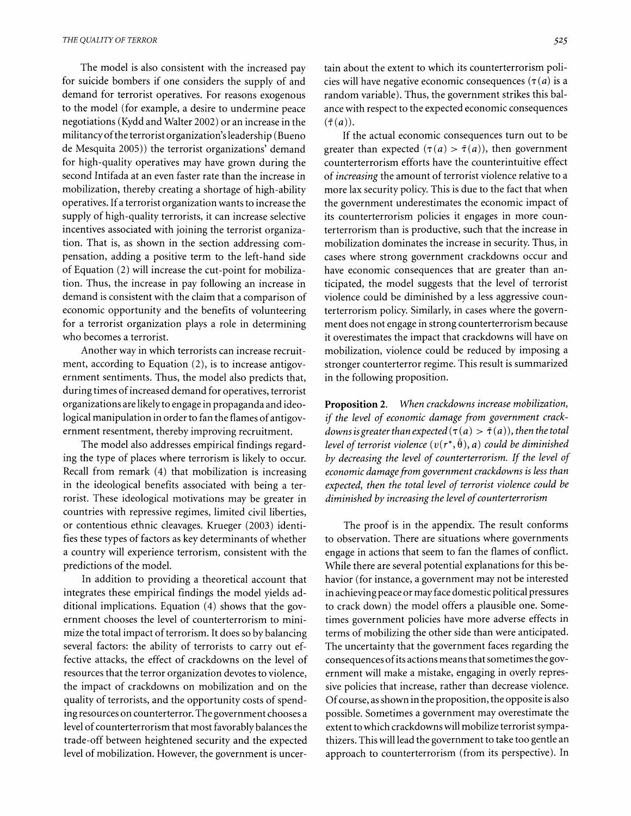The model is also consistent with the increased pay for suicide bombers if one considers the supply of and demand for terrorist operatives. For reasons exogenous to the model (for example, a desire to undermine peace negotiations (Kydd and Walter 2002) or an increase in the militancy of the terrorist organization's leadership (Bueno de Mesquita 2005)) the terrorist organizations' demand for high-quality operatives may have grown during the second Intifada at an even faster rate than the increase in mobilization, thereby creating a shortage of high-ability operatives. If a terrorist organization wants to increase the supply of high-quality terrorists, it can increase selective incentives associated with joining the terrorist organization. That is, as shown in the section addressing compensation, adding a positive term to the left-hand side of Equation (2) will increase the cut-point for mobilization. Thus, the increase in pay following an increase in demand is consistent with the claim that a comparison of economic opportunity and the benefits of volunteering for a terrorist organization plays a role in determining who becomes a terrorist.

Another way in which terrorists can increase recruitment, according to Equation (2), is to increase antigovernment sentiments. Thus, the model also predicts that, during times of increased demand for operatives, terrorist organizations are likely to engage in propaganda and ideological manipulation in order to fan the flames of antigovernment resentment, thereby improving recruitment.

The model also addresses empirical findings regarding the type of places where terrorism is likely to occur. Recall from remark (4) that mobilization is increasing in the ideological benefits associated with being a terrorist. These ideological motivations may be greater in countries with repressive regimes, limited civil liberties, or contentious ethnic cleavages. Krueger (2003) identifies these types of factors as key determinants of whether a country will experience terrorism, consistent with the predictions of the model.

In addition to providing a theoretical account that integrates these empirical findings the model yields additional implications. Equation (4) shows that the government chooses the level of counterterrorism to minimize the total impact of terrorism. It does so by balancing several factors: the ability of terrorists to carry out effective attacks, the effect of crackdowns on the level of resources that the terror organization devotes to violence, the impact of crackdowns on mobilization and on the quality of terrorists, and the opportunity costs of spending resources on counterterror. The government chooses a level of counterterrorism that most favorably balances the trade-off between heightened security and the expected level of mobilization. However, the government is uncertain about the extent to which its counterterrorism policies will have negative economic consequences  $(\tau(a))$  is a random variable). Thus, the government strikes this balance with respect to the expected economic consequences  $(\bar{\tau}(a)).$ 

If the actual economic consequences turn out to be greater than expected  $(\tau(a) > \overline{\tau}(a))$ , then government counterterrorism efforts have the counterintuitive effect of *increasing* the amount of terrorist violence relative to a more lax security policy. This is due to the fact that when the government underestimates the economic impact of its counterterrorism policies it engages in more counterterrorism than is productive, such that the increase in mobilization dominates the increase in security. Thus, in cases where strong government crackdowns occur and have economic consequences that are greater than anticipated, the model suggests that the level of terrorist violence could be diminished by a less aggressive counterterrorism policy. Similarly, in cases where the government does not engage in strong counterterrorism because it overestimates the impact that crackdowns will have on mobilization, violence could be reduced by imposing a stronger counterterror regime. This result is summarized in the following proposition.

**Proposition 2.** When crackdowns increase mobilization, if the level of economic damage from government crackdowns is greater than expected  $(\tau(a) > \overline{\tau}(a))$ , then the total level of terrorist violence  $(v(r^*, \tilde{\theta}), a)$  could be diminished by decreasing the level of counterterrorism. If the level of economic damage from government crackdowns is less than expected, then the total level of terrorist violence could be diminished by increasing the level of counterterrorism

The proof is in the appendix. The result conforms to observation. There are situations where governments engage in actions that seem to fan the flames of conflict. While there are several potential explanations for this behavior (for instance, a government may not be interested in achieving peace or may face domestic political pressures to crack down) the model offers a plausible one. Sometimes government policies have more adverse effects in terms of mobilizing the other side than were anticipated. The uncertainty that the government faces regarding the consequences ofits actions means that sometimes the government will make a mistake, engaging in overly repressive policies that increase, rather than decrease violence. Of course, as shown in the proposition, the opposite is also possible. Sometimes a government may overestimate the extent to which crackdowns will mobilize terrorist sympathizers. This will lead the government to take too gentle an approach to counterterrorism (from its perspective). In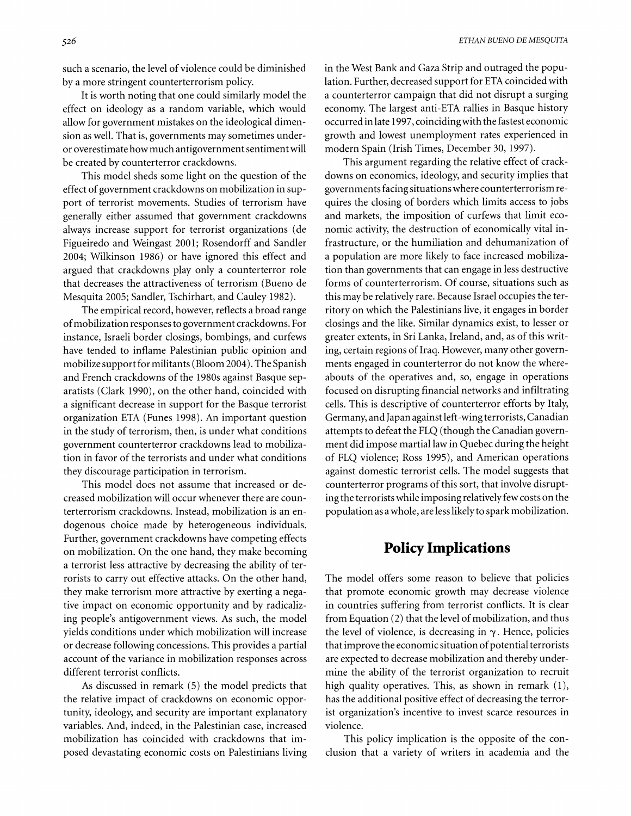such a scenario, the level of violence could be diminished by a more stringent counterterrorism policy.

It is worth noting that one could similarly model the effect on ideology as a random variable, which would allow for government mistakes on the ideological dimension as well. That is, governments may sometimes underor overestimate how much antigovernment sentiment will be created by counterterror crackdowns.

This model sheds some light on the question of the effect of government crackdowns on mobilization in support of terrorist movements. Studies of terrorism have generally either assumed that government crackdowns always increase support for terrorist organizations (de Figueiredo and Weingast 2001; Rosendorff and Sandler 2004; Wilkinson 1986) or have ignored this effect and argued that crackdowns play only a counterterror role that decreases the attractiveness of terrorism (Bueno de Mesquita 2005; Sandler, Tschirhart, and Cauley 1982).

The empirical record, however, reflects a broad range of mobilization responses to government crackdowns. For instance, Israeli border closings, bombings, and curfews have tended to inflame Palestinian public opinion and mobilize support for militants (Bloom 2004). The Spanish and French crackdowns of the 1980s against Basque separatists (Clark 1990), on the other hand, coincided with a significant decrease in support for the Basque terrorist organization ETA (Funes 1998). An important question in the study of terrorism, then, is under what conditions government counterterror crackdowns lead to mobilization in favor of the terrorists and under what conditions they discourage participation in terrorism.

This model does not assume that increased or decreased mobilization will occur whenever there are counterterrorism crackdowns. Instead, mobilization is an endogenous choice made by heterogeneous individuals. Further, government crackdowns have competing effects on mobilization. On the one hand, they make becoming a terrorist less attractive by decreasing the ability of terrorists to carry out effective attacks. On the other hand, they make terrorism more attractive by exerting a negative impact on economic opportunity and by radicalizing people's antigovernment views. As such, the model yields conditions under which mobilization will increase or decrease following concessions. This provides a partial account of the variance in mobilization responses across different terrorist conflicts.

As discussed in remark (5) the model predicts that the relative impact of crackdowns on economic opportunity, ideology, and security are important explanatory variables. And, indeed, in the Palestinian case, increased mobilization has coincided with crackdowns that imposed devastating economic costs on Palestinians living in the West Bank and Gaza Strip and outraged the population. Further, decreased support for ETA coincided with a counterterror campaign that did not disrupt a surging economy. The largest anti-ETA rallies in Basque history occurred in late 1997, coincidingwith the fastest economic growth and lowest unemployment rates experienced in modern Spain (Irish Times, December 30, 1997).

This argument regarding the relative effect of crackdowns on economics, ideology, and security implies that governments facing situations where counterterrorism requires the closing of borders which limits access to jobs and markets, the imposition of curfews that limit economic activity, the destruction of economically vital infrastructure, or the humiliation and dehumanization of a population are more likely to face increased mobilization than governments that can engage in less destructive forms of counterterrorism. Of course, situations such as this may be relatively rare. Because Israel occupies the territory on which the Palestinians live, it engages in border closings and the like. Similar dynamics exist, to lesser or greater extents, in Sri Lanka, Ireland, and, as of this writing, certain regions of Iraq. However, many other governments engaged in counterterror do not know the whereabouts of the operatives and, so, engage in operations focused on disrupting financial networks and infiltrating cells. This is descriptive of counterterror efforts by Italy, Germany, and Japan against left-wing terrorists, Canadian attempts to defeat the FLQ (though the Canadian government did impose martial law in Quebec during the height of FLQ violence; Ross 1995), and American operations against domestic terrorist cells. The model suggests that counterterror programs of this sort, that involve disrupting the terrorists while imposing relatively few costs on the population as a whole, are less likely to spark mobilization.

### **Policy Implications**

The model offers some reason to believe that policies that promote economic growth may decrease violence in countries suffering from terrorist conflicts. It is clear from Equation (2) that the level of mobilization, and thus the level of violence, is decreasing in  $\gamma$ . Hence, policies that improve the economic situation of potential terrorists are expected to decrease mobilization and thereby undermine the ability of the terrorist organization to recruit high quality operatives. This, as shown in remark (I), has the additional positive effect of decreasing the terrorist organization's incentive to invest scarce resources in violence.

This policy implication is the opposite of the conclusion that a variety of writers in academia and the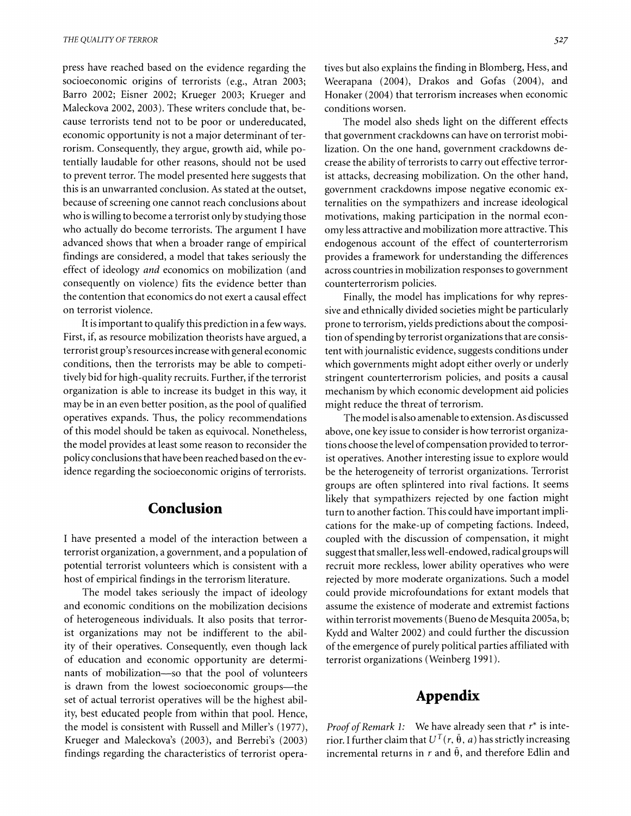press have reached based on the evidence regarding the socioeconomic origins of terrorists (e.g., Atran 2003; Barro 2002; Eisner 2002; Krueger 2003; Krueger and Maleckova 2002, 2003). These writers conclude that, because terrorists tend not to be poor or undereducated, economic opportunity is not a major determinant of terrorism. Consequently, they argue, growth aid, while potentially laudable for other reasons, should not be used to prevent terror. The model presented here suggests that this is an unwarranted conclusion. As stated at the outset, because of screening one cannot reach conclusions about who is willing to become a terrorist only by studying those who actually do become terrorists. The argument I have advanced shows that when a broader range of empirical findings are considered, a model that takes seriously the effect of ideology and economics on mobilization (and consequently on violence) fits the evidence better than the contention that economics do not exert a causal effect on terrorist violence.

It is important to qualify this prediction in a few ways. First, if, as resource mobilization theorists have argued, a terrorist group's resources increase with general economic conditions, then the terrorists may be able to competitively bid for high-quality recruits. Further, if the terrorist organization is able to increase its budget in this way, it may be in an even better position, as the pool of qualified operatives expands. Thus, the policy recommendations of this model should be taken as equivocal. Nonetheless, the model provides at least some reason to reconsider the policy conclusions that have been reached based on the evidence regarding the socioeconomic origins of terrorists.

## **Conclusion**

I have presented a model of the interaction between a terrorist organization, a government, and a population of potential terrorist volunteers which is consistent with a host of empirical findings in the terrorism literature.

The model takes seriously the impact of ideology and economic conditions on the mobilization decisions of heterogeneous individuals. It also posits that terrorist organizations may not be indifferent to the ability of their operatives. Consequently, even though lack of education and economic opportunity are determinants of mobilization-so that the pool of volunteers is drawn from the lowest socioeconomic groups-the set of actual terrorist operatives will be the highest ability, best educated people from within that pool. Hence, the model is consistent with Russell and Miller's (1977), Krueger and Maleckova's (2003), and Berrebi's (2003) findings regarding the characteristics of terrorist operatives but also explains the finding in Blomberg, Hess, and Weerapana (2004), Drakos and Gofas (2004), and Honaker (2004) that terrorism increases when economic conditions worsen.

The model also sheds light on the different effects that government crackdowns can have on terrorist mobilization. On the one hand, government crackdowns decrease the ability of terrorists to carry out effective terrorist attacks, decreasing mobilization. On the other hand, government crackdowns impose negative economic externalities on the sympathizers and increase ideological motivations, making participation in the normal economy less attractive and mobilization more attractive. This endogenous account of the effect of counterterrorism provides a framework for understanding the differences across countries in mobilization responses to government counterterrorism policies.

Finally, the model has implications for why repressive and ethnically divided societies might be particularly prone to terrorism, yields predictions about the composition of spending by terrorist organizations that are consistent with journalistic evidence, suggests conditions under which governments might adopt either overly or underly stringent counterterrorism policies, and posits a causal mechanism by which economic development aid policies might reduce the threat of terrorism.

The model is also amenable to extension. As discussed above, one key issue to consider is how terrorist organizations choose the level of compensation provided to terrorist operatives. Another interesting issue to explore would be the heterogeneity of terrorist organizations. Terrorist groups are often splintered into rival factions. It seems likely that sympathizers rejected by one faction might turn to another faction. This could have important implications for the make-up of competing factions. Indeed, coupled with the discussion of compensation, it might suggest that smaller, less well-endowed, radical groups will recruit more reckless, lower ability operatives who were rejected by more moderate organizations. Such a model could provide microfoundations for extant models that assume the existence of moderate and extremist factions within terrorist movements (Bueno de Mesquita 2005a, b; Kydd and Walter 2002) and could further the discussion of the emergence of purely political parties affiliated with terrorist organizations (Weinberg 1991 ).

# **Appendix**

*Proof of Remark 1:* We have already seen that *r\** is interior. I further claim that  $U^T(r, \bar{\theta}, a)$  has strictly increasing incremental returns in  $r$  and  $\bar{\theta}$ , and therefore Edlin and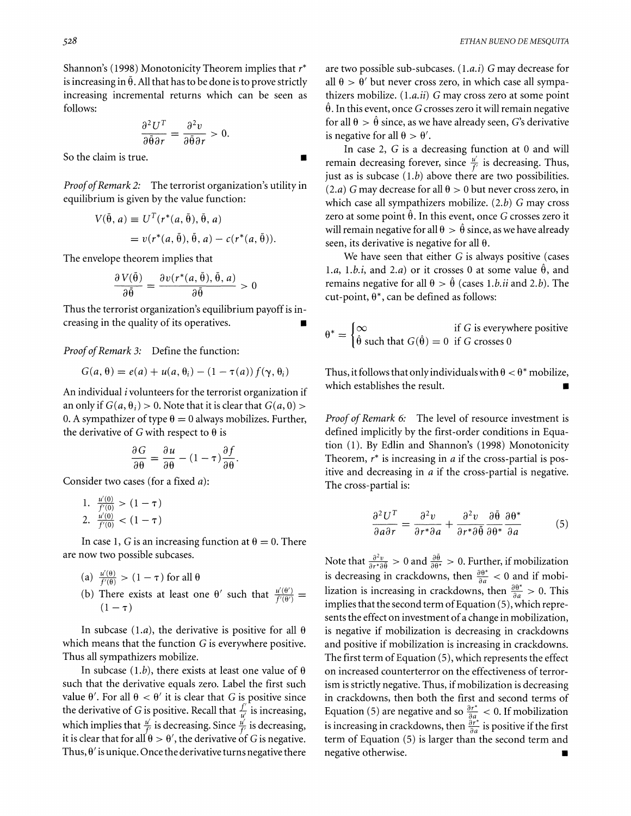Shannon's (1998) Monotonicity Theorem implies that  $r^*$ is increasing in  $\bar{\theta}$ . All that has to be done is to prove strictly increasing incremental returns which can be seen as follows:

$$
\frac{\partial^2 U^T}{\partial \bar{\theta}\partial r} = \frac{\partial^2 v}{\partial \bar{\theta}\partial r} > 0.
$$

So the claim is true.

Proof of Remark 2: The terrorist organization's utility in equilibrium is given by the value function:

$$
V(\bar{\theta}, a) \equiv U^T(r^*(a, \bar{\theta}), \bar{\theta}, a)
$$
  
=  $v(r^*(a, \bar{\theta}), \bar{\theta}, a) - c(r^*(a, \bar{\theta})).$ 

The envelope theorem implies that

$$
\frac{\partial V(\bar{\theta})}{\partial \bar{\theta}} = \frac{\partial v(r^*(a, \bar{\theta}), \bar{\theta}, a)}{\partial \bar{\theta}} > 0
$$

Thus the terrorist organization's equilibrium payoff is increasing in the quality of its operatives.

Proof of Remark 3: Define the function:

$$
G(a, \theta) = e(a) + u(a, \theta_i) - (1 - \tau(a)) f(\gamma, \theta_i)
$$

An individual i volunteers for the terrorist organization if an only if  $G(a, \theta_i) > 0$ . Note that it is clear that  $G(a, 0) >$ 0. A sympathizer of type  $\theta = 0$  always mobilizes. Further, the derivative of G with respect to  $\theta$  is

$$
\frac{\partial G}{\partial \theta} = \frac{\partial u}{\partial \theta} - (1 - \tau) \frac{\partial f}{\partial \theta}
$$

Consider two cases (for a fixed a):

1. 
$$
\frac{u'(0)}{f'(0)} > (1 - \tau)
$$
  
2. 
$$
\frac{u'(0)}{f'(0)} < (1 - \tau)
$$

In case 1, G is an increasing function at  $\theta = 0$ . There are now two possible subcases.

- (a)  $\frac{u'(\theta)}{f'(\theta)} > (1 \tau)$  for all  $\theta$
- (b) There exists at least one  $\theta'$  such that  $\frac{u'(\theta')}{f'(\theta')}$  =  $(1 - \tau)$

In subcase (1.*a*), the derivative is positive for all  $\theta$ which means that the function G is everywhere positive. Thus all sympathizers mobilize.

In subcase (1.b), there exists at least one value of  $\theta$ such that the derivative equals zero. Label the first such value  $\theta'$ . For all  $\theta < \theta'$  it is clear that G is positive since the derivative of G is positive. Recall that  $\frac{f}{u'}$  is increasing, which implies that  $\frac{u'}{f}$  is decreasing. Since  $\frac{u'}{f}$  is decreasing, it is clear that for all  $\theta > \theta'$ , the derivative of G is negative. Thus,  $\theta'$  is unique. Once the derivative turns negative there

are two possible sub-subcases. (1.a.i) G may decrease for all  $\theta > \theta'$  but never cross zero, in which case all sympathizers mobilize.  $(1.a.ii)$  G may cross zero at some point  $\hat{\theta}$ . In this event, once G crosses zero it will remain negative for all  $\theta > \hat{\theta}$  since, as we have already seen, G's derivative is negative for all  $\theta > \theta'$ .

In case 2, G is a decreasing function at 0 and will remain decreasing forever, since  $\frac{u'}{f}$  is decreasing. Thus, just as is subcase  $(1.b)$  above there are two possibilities. (2.a) G may decrease for all  $\theta > 0$  but never cross zero, in which case all sympathizers mobilize.  $(2.b)$  G may cross zero at some point  $\hat{\theta}$ . In this event, once G crosses zero it will remain negative for all  $\theta > \hat{\theta}$  since, as we have already seen, its derivative is negative for all  $\theta$ .

We have seen that either G is always positive (cases 1.a, 1.b.i, and 2.a) or it crosses 0 at some value  $\hat{\theta}$ , and remains negative for all  $\theta > \hat{\theta}$  (cases 1.*b.ii* and 2.*b*). The cut-point,  $\theta^*$ , can be defined as follows:

$$
\theta^* = \begin{cases} \infty & \text{if } G \text{ is everywhere positive} \\ \hat{\theta} \text{ such that } G(\hat{\theta}) = 0 & \text{if } G \text{ crosses } 0 \end{cases}
$$

Thus, it follows that only individuals with  $\theta < \theta^*$  mobilize, which establishes the result.

Proof of Remark 6: The level of resource investment is defined implicitly by the first-order conditions in Equation (I). By Edlin and Shannon's (1998) Monotonicity Theorem,  $r^*$  is increasing in  $a$  if the cross-partial is positive and decreasing in a if the cross-partial is negative. The cross-partial is:

$$
\frac{\partial^2 U^T}{\partial a \partial r} = \frac{\partial^2 v}{\partial r^* \partial a} + \frac{\partial^2 v}{\partial r^* \partial \bar{\theta}} \frac{\partial \bar{\theta}}{\partial \theta^*} \frac{\partial \theta^*}{\partial a} \tag{5}
$$

Note that  $\frac{\partial^2 v}{\partial r^* \partial \bar{\theta}} > 0$  and  $\frac{\partial \bar{\theta}}{\partial \theta^*} > 0$ . Further, if mobilization is decreasing in crackdowns, then  $\frac{\partial \theta^*}{\partial a} < 0$  and if mobilization is increasing in crackdowns, then  $\frac{\partial \theta^*}{\partial a} > 0$ . This implies that the second term of Equation  $(5)$ , which represents the effect on investment of a change in mobilization, is negative if mobilization is decreasing in crackdowns and positive if mobilization is increasing in crackdowns. The first term of Equation (5), which represents the effect on increased counterterror on the effectiveness of terrorism is strictly negative. Thus, if mobilization is decreasing in crackdowns, then both the first and second terms of Equation (5) are negative and so  $\frac{\partial r^*}{\partial q} < 0$ . If mobilization is increasing in crackdowns, then  $\frac{\partial r}{\partial q}$  is positive if the first term of Equation (5) is larger than the second term and negative otherwise.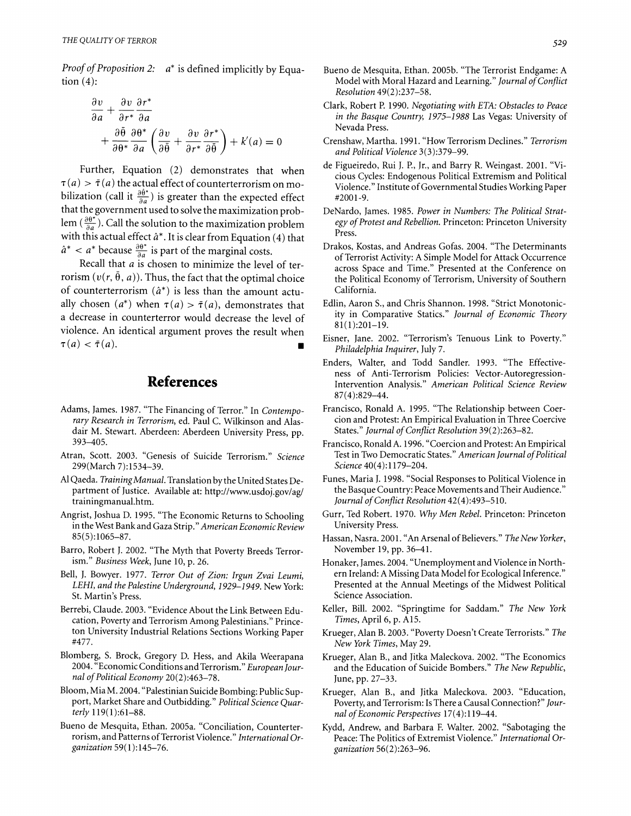*Proof of Proposition 2: a\** is defined implicitly by Equation  $(4)$ :

$$
\frac{\partial v}{\partial a} + \frac{\partial v}{\partial r^*} \frac{\partial r^*}{\partial a} + \frac{\partial \bar{\theta}}{\partial \theta^*} \frac{\partial \theta^*}{\partial a} \left( \frac{\partial v}{\partial \bar{\theta}} + \frac{\partial v}{\partial r^*} \frac{\partial r^*}{\partial \bar{\theta}} \right) + k'(a) = 0
$$

Further, Equation (2) demonstrates that when  $\tau(a) > \bar{\tau}(a)$  the actual effect of counterterrorism on mobilization (call it  $\frac{\partial \theta^*}{\partial q}$ ) is greater than the expected effect that the government used to solve the maximization problem  $(\frac{\partial \theta^*}{\partial a})$ . Call the solution to the maximization problem with this actual effect *a\*.* It is clear from Equation (4) that with this actual effect  $a^*$ . It is clear from Equation (<br> $\hat{a}^* < a^*$  because  $\frac{\partial \theta^*}{\partial a}$  is part of the marginal costs.

Recall that *a* is chosen to minimize the level of terrorism  $(v(r, \tilde{\theta}, a))$ . Thus, the fact that the optimal choice of counterterrorism *(a\*)* is less than the amount actually chosen  $(a^*)$  when  $\tau(a) > \bar{\tau}(a)$ , demonstrates that a decrease in counterterror would decrease the level of violence. An identical argument proves the result when  $\pi(a) < \bar{\pi}(a)$ .

## **References**

- Adams, James. 1987. "The Financing of Terror." In *Contemporary Research in Terrorism,* ed. Paul C. Wilkinson and Alasdair M. Stewart. Aberdeen: Aberdeen University Press, pp. 393-405.
- Atran, Scott. 2003. "Genesis of Suicide Terrorism." *Science*  299(March 7):1534-39.
- A1Qaeda. *TrainingManual.* Translation by the United States Department of Justice. Available at: http://www.usdoj.gov/ag/ trainingmanual.htm.
- Angrist, Joshua D. 1995. "The Economic Returns to Schooling in the West Bankand Gaza Strip." *American EconomicReview*  85(5):1065-87.
- Barro, Robert J. 2002. "The Myth that Poverty Breeds Terrorism." *Business Week,* June 10, p. 26.
- Bell, J. Bowyer. 1977. *Terror Out of Zion: Irgun Zvai Leumi,*  LEHI, and the Palestine Underground, 1929-1949. New York: St. Martin's Press.
- Berrebi, Claude. 2003. "Evidence About the Link Between Education, Poverty and Terrorism Among Palestinians." Princeton University Industrial Relations Sections Working Paper #477.
- Blomberg, S. Brock, Gregory D. Hess, and Akila Weerapana 2004. "Economic Conditions and Terrorism." *European Journal of Political Economy* 20(2):463-78.
- Bloom, Mia M. 2004. "Palestinian Suicide Bombing: Public Support, Market Share and Outbidding." *Political Science Quarterly* 119(1):61-88.
- Bueno de Mesquita, Ethan. 2005a. "Conciliation, Counterterrorism, and Patterns of Terrorist Violence." *International Organization* 59(1):145-76.
- Bueno de Mesquita, Ethan. 2005b. "The Terrorist Endgame: A Model with Moral Hazard and Learning." *Journal of Conflict Resolution* 49(2):237-58.
- Clark, Robert P. 1990. *Negotiating with ETA: Obstacles to Peace in the Basque Country,* 1975-1988 Las Vegas: University of Nevada Press.
- Crenshaw, Martha. 199 1. "How Terrorism Declines." *Terrorism and Political Violence* 3(3):379-99.
- de Figueiredo, Rui J. P., Jr., and Barry R. Weingast. 2001. "Vicious Cycles: Endogenous Political Extremism and Political Violence." Institute of Governmental Studies Working Paper #2001-9.
- DeNardo, James. 1985. *Power in Numbers: The Political Strategy of Protest and Rebellion.* Princeton: Princeton University Press.
- Drakos, Kostas, and Andreas Gofas. 2004. "The Determinants of Terrorist Activity: A Simple Model for Attack Occurrence across Space and Time." Presented at the Conference on the Political Economy of Terrorism, University of Southern California.
- Edlin, Aaron S., and Chris Shannon. 1998. "Strict Monotonicity in Comparative Statics." *Journal of Economic Theory*  81(1):201-19.
- Eisner, Jane. 2002. "Terrorism's Tenuous Link to Poverty." *Philadelphia Inquirer,* July 7.
- Enders, Walter, and Todd Sandler. 1993. "The Effectiveness of Anti-Terrorism Policies: Vector-Autoregression-Intervention Analysis." *American Political Science Review*  87(4):829-44.
- Francisco, Ronald A. 1995. "The Relationship between Coercion and Protest: An Empirical Evaluation in Three Coercive States." *Journal of Conflict Resolution* 39(2):263-82.
- Francisco, Ronald A. 1996. "Coercion and Protest: An Empirical Test in Two Democratic States." *American Journal of Political Science* 40(4): 1179-204.
- Funes, Maria J. 1998. "Social Responses to Political Violence in the Basque Country: Peace Movements and Their Audience." *Journal of Conflict Resolution* 42(4):493-5 10.
- Gurr, Ted Robert. 1970. *Why Men Rebel.* Princeton: Princeton University Press.
- Hassan, Nasra. 2001. "An Arsenal of Believers." *The New Yorker,*  November 19, pp. 36-41.
- Honaker, James. 2004. "Unemployment and Violence in Northern Ireland: A Missing Data Model for Ecological Inference." Presented at the Annual Meetings of the Midwest Political Science Association.
- Keller, Bill. 2002. "Springtime for Saddam." *The New York Times,* April 6, p. A15.
- Krueger, Alan B. 2003. "Poverty Doesn't Create Terrorists." *The New York Times,* May 29.
- Krueger, Alan B., and Jitka Maleckova. 2002. "The Economics and the Education of Suicide Bombers." *The New Republic,*  June, pp. 27-33.
- Krueger, Alan B., and Jitka Maleckova. 2003. "Education, Poverty, and Terrorism: Is There a Causal Connection?" *Journal of Economic Perspectives* 17(4):119-44.
- Kydd, Andrew, and Barbara F. Walter. 2002. "Sabotaging the Peace: The Politics of Extremist Violence." *International Organization* 56(2):263-96.